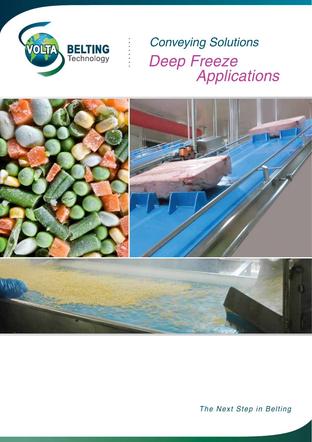

Deep Freeze **Example 25 Applications** Conveying Solutions



The Next Step in Belting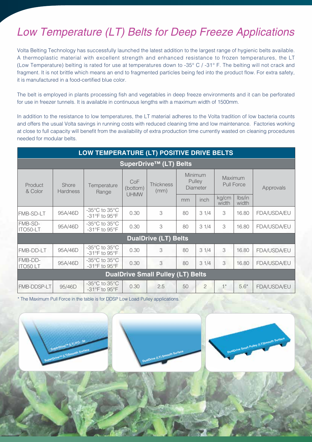## Low Temperature (LT) Belts for Deep Freeze Applications

Volta Belting Technology has successfully launched the latest addition to the largest range of hygienic belts available. A thermoplastic material with excellent strength and enhanced resistance to frozen temperatures, the LT (Low Temperature) belting is rated for use at temperatures down to -35° C / -31° F. The belting will not crack and fragment. It is not brittle which means an end to fragmented particles being fed into the product flow. For extra safety, it is manufactured in a food-certified blue color.

The belt is employed in plants processing fish and vegetables in deep freeze environments and it can be perforated for use in freezer tunnels. It is available in continuous lengths with a maximum width of 1500mm.

In addition to the resistance to low temperatures, the LT material adheres to the Volta tradition of low bacteria counts and offers the usual Volta savings in running costs with reduced cleaning time and low maintenance. Factories working at close to full capacity will benefit from the availability of extra production time currently wasted on cleaning procedures needed for modular belts.

| LOW TEMPERATURE (LT) POSITIVE DRIVE BELTS |                          |                                                    |                                |                          |                               |                |                              |                 |             |
|-------------------------------------------|--------------------------|----------------------------------------------------|--------------------------------|--------------------------|-------------------------------|----------------|------------------------------|-----------------|-------------|
| SuperDrive™ (LT) Belts                    |                          |                                                    |                                |                          |                               |                |                              |                 |             |
| Product<br>& Color                        | Shore<br><b>Hardness</b> | Temperature<br>Range                               | CoF<br>(bottom)<br><b>UHMW</b> | <b>Thickness</b><br>(mm) | Minimum<br>Pulley<br>Diameter |                | Maximum<br><b>Pull Force</b> |                 | Approvals   |
|                                           |                          |                                                    |                                |                          | mm                            | inch           | kg/cm<br>width               | Ibs/in<br>width |             |
| <b>FMB-SD-LT</b>                          | 95A/46D                  | $-35^{\circ}$ C to $35^{\circ}$ C<br>-31°F to 95°F | 0.30                           | 3                        | 80                            | 31/4           | 3                            | 16.80           | FDA/USDA/EU |
| FMB-SD-<br>ITO50-LT                       | 95A/46D                  | $-35^{\circ}$ C to $35^{\circ}$ C<br>-31°F to 95°F | 0.30                           | 3                        | 80                            | 31/4           | 3                            | 16.80           | FDA/USDA/EU |
| <b>DualDrive (LT) Belts</b>               |                          |                                                    |                                |                          |                               |                |                              |                 |             |
| FMB-DD-LT                                 | 95A/46D                  | $-35^{\circ}$ C to $35^{\circ}$ C<br>-31°F to 95°F | 0.30                           | 3                        | 80                            | 31/4           | 3                            | 16.80           | FDA/USDA/EU |
| <b>FMB-DD-</b><br><b>ITO50LT</b>          | 95A/46D                  | $-35^{\circ}$ C to $35^{\circ}$ C<br>-31°F to 95°F | 0.30                           | 3                        | 80                            | 31/4           | 3                            | 16.80           | FDA/USDA/EU |
| <b>DualDrive Small Pulley (LT) Belts</b>  |                          |                                                    |                                |                          |                               |                |                              |                 |             |
| <b>FMB-DDSP-LT</b>                        | 95/46D                   | $-35^{\circ}$ C to $35^{\circ}$ C<br>-31°F to 95°F | 0.30                           | 2.5                      | 50                            | $\overline{2}$ | $1*$                         | $5.6*$          | FDA/USDA/EU |

\* The Maximum Pull Force in the table is for DDSP Low Load Pulley applications.

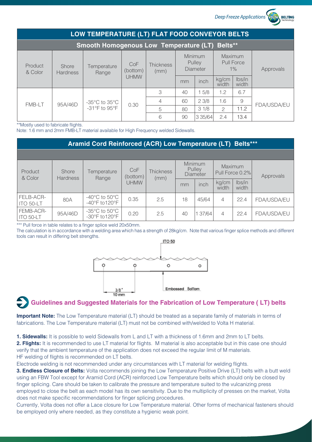*Deep Freeze Applications*

**REITING** 

| LOW TEMPERATURE (LT) FLAT FOOD CONVEYOR BELTS  |                          |                                                                      |                                |                          |                               |            |                                       |                 |                    |
|------------------------------------------------|--------------------------|----------------------------------------------------------------------|--------------------------------|--------------------------|-------------------------------|------------|---------------------------------------|-----------------|--------------------|
| Smooth Homogenous Low Temperature (LT) Belts** |                          |                                                                      |                                |                          |                               |            |                                       |                 |                    |
| Product<br>& Color                             | Shore<br><b>Hardness</b> | Temperature<br>Range                                                 | CoF<br>(bottom)<br><b>UHMW</b> | <b>Thickness</b><br>(mm) | Minimum<br>Pulley<br>Diameter |            | Maximum<br><b>Pull Force</b><br>$1\%$ |                 | Approvals          |
|                                                |                          |                                                                      |                                |                          | mm                            | inch       | kg/cm<br>width                        | Ibs/in<br>width |                    |
| <b>FMB-LT</b>                                  | 95A/46D                  | -35 $\mathrm{^{\circ}C}$ to 35 $\mathrm{^{\circ}C}$<br>-31°F to 95°F | 0.30                           | 3                        | 40                            | 15/8       | 1.2                                   | 6.7             |                    |
|                                                |                          |                                                                      |                                | $\overline{4}$           | 60                            | 23/8       | 1.6                                   | 9               | <b>FDA/USDA/EU</b> |
|                                                |                          |                                                                      |                                | 5                        | 80                            | 31/8       | $\mathcal{P}$                         | 11.2            |                    |
|                                                |                          |                                                                      |                                | 6                        | 90                            | 3 3 5 / 64 | 2.4                                   | 13.4            |                    |

\*\*Mostly used to fabricate flights.

Note: 1.6 mm and 2mm FMB-LT material available for High Frequency welded Sidewalls.

| Aramid Cord Reinforced (ACR) Low Temperature (LT) Belts*** |                                 |                                                      |                                |                          |                                             |       |                            |                 |             |
|------------------------------------------------------------|---------------------------------|------------------------------------------------------|--------------------------------|--------------------------|---------------------------------------------|-------|----------------------------|-----------------|-------------|
|                                                            |                                 |                                                      |                                |                          |                                             |       |                            |                 |             |
| Product<br>& Color                                         | <b>Shore</b><br><b>Hardness</b> | Temperature<br>Range                                 | CoF<br>(bottom)<br><b>UHMW</b> | <b>Thickness</b><br>(mm) | Minimum<br><b>Pulley</b><br><b>Diameter</b> |       | Maximum<br>Pull Force 0.2% |                 | Approvals   |
|                                                            |                                 |                                                      |                                |                          | mm                                          | inch  | kg/cm<br>width             | Ibs/in<br>width |             |
| FELB-ACR-<br>ITO 50-LT                                     | 80A                             | -40 $^{\circ}$ C to 50 $^{\circ}$ C<br>-40°F to120°F | 0.35                           | 2.5                      | 18                                          | 45/64 | 4                          | 22.4            | FDA/USDA/EU |
| FEMB-ACR-<br>ITO 50-LT                                     | 95A/46D                         | $-35^{\circ}$ C to $50^{\circ}$ C<br>-30°F to120°F   | 0.20                           | 2.5                      | 40                                          | 37/64 | 4                          | 22.4            | FDA/USDA/EU |

\*\*\* Pull force in table relates to a finger splice weld 20x50mm.

The calculation is in accordance with a welding area which has a strength of 28kg/cm. Note that various finger splice methods and different tools can result in differing belt strengths.



## **Guidelines and Suggested Materials for the Fabrication of Low Temperature ( LT) belts**

**Important Note:** The Low Temperature material (LT) should be treated as a separate family of materials in terms of fabrications. The Low Temperature material (LT) must not be combined with/welded to Volta H material.

**1. Sidewalls:** It is possible to weld Sidewalls from L and LT with a thickness of 1.6mm and 2mm to LT belts.

**2. Flights:** It is recommended to use LT material for flights. M material is also acceptable but in this case one should verify that the ambient temperature of the application does not exceed the regular limit of M materials. HF welding of flights is recommended on LT belts.

Electrode welding is not recommended under any circumstances with LT material for welding flights.

**3. Endless Closure of Belts:** Volta recommends joining the Low Temperature Positive Drive (LT) belts with a butt weld using an FBW Tool except for Aramid Cord (ACR) reinforced Low Temperature belts which should only be closed by finger splicing. Care should be taken to calibrate the pressure and temperature suited to the vulcanizing press employed to close the belt as each model has its own sensitivity. Due to the multiplicity of presses on the market, Volta does not make specific recommendations for finger splicing procedures.

Currently, Volta does not offer a Lace closure for Low Temperature material. Other forms of mechanical fasteners should be employed only where needed, as they constitute a hygienic weak point.